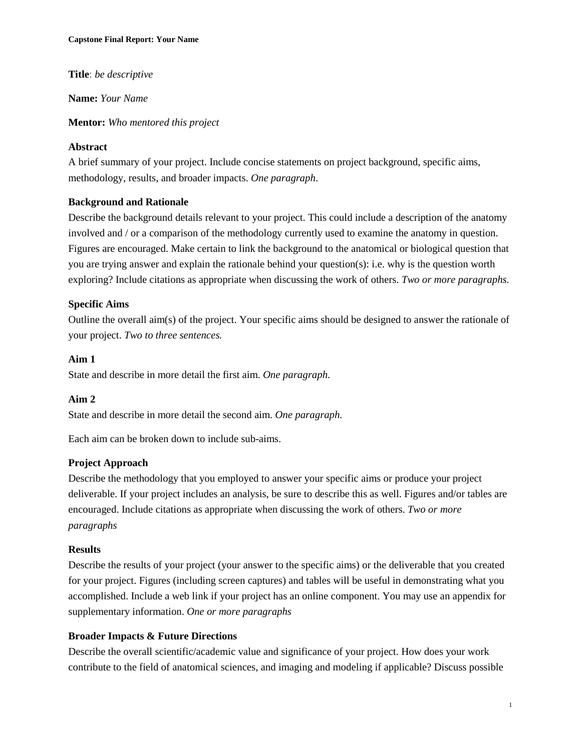**Title**: *be descriptive*

**Name:** *Your Name*

**Mentor:** *Who mentored this project*

#### **Abstract**

A brief summary of your project. Include concise statements on project background, specific aims, methodology, results, and broader impacts. *One paragraph*.

### **Background and Rationale**

Describe the background details relevant to your project. This could include a description of the anatomy involved and / or a comparison of the methodology currently used to examine the anatomy in question. Figures are encouraged. Make certain to link the background to the anatomical or biological question that you are trying answer and explain the rationale behind your question(s): i.e. why is the question worth exploring? Include citations as appropriate when discussing the work of others. *Two or more paragraphs.*

### **Specific Aims**

Outline the overall aim(s) of the project. Your specific aims should be designed to answer the rationale of your project. *Two to three sentences.*

### **Aim 1**

State and describe in more detail the first aim. *One paragraph.*

#### **Aim 2**

State and describe in more detail the second aim. *One paragraph.*

Each aim can be broken down to include sub-aims.

#### **Project Approach**

Describe the methodology that you employed to answer your specific aims or produce your project deliverable. If your project includes an analysis, be sure to describe this as well. Figures and/or tables are encouraged. Include citations as appropriate when discussing the work of others. *Two or more paragraphs*

#### **Results**

Describe the results of your project (your answer to the specific aims) or the deliverable that you created for your project. Figures (including screen captures) and tables will be useful in demonstrating what you accomplished. Include a web link if your project has an online component. You may use an appendix for supplementary information. *One or more paragraphs*

#### **Broader Impacts & Future Directions**

Describe the overall scientific/academic value and significance of your project. How does your work contribute to the field of anatomical sciences, and imaging and modeling if applicable? Discuss possible